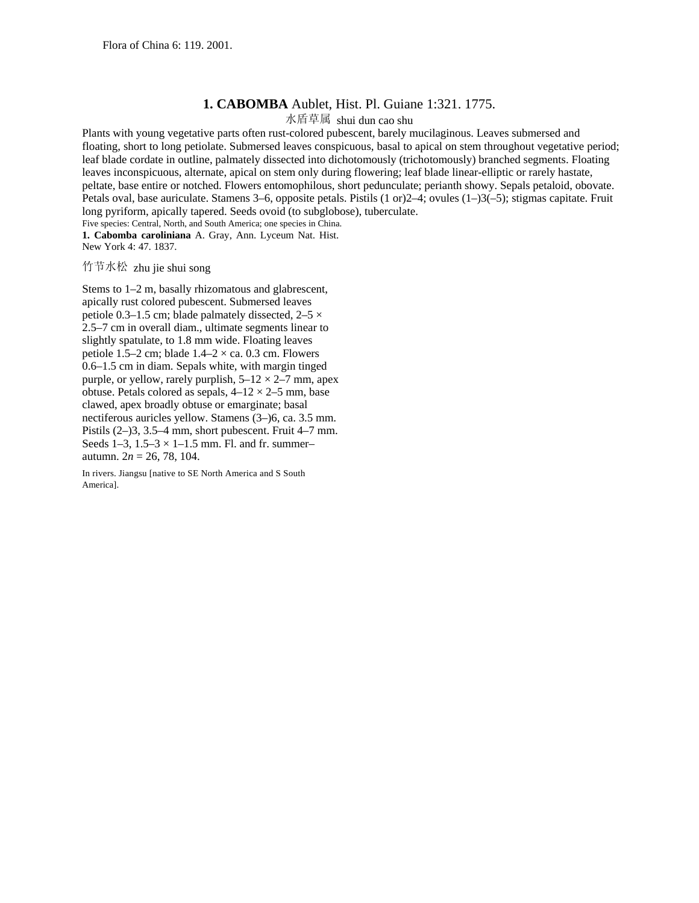## **1. CABOMBA** Aublet, Hist. Pl. Guiane 1:321. 1775.

水盾草属 shui dun cao shu

Plants with young vegetative parts often rust-colored pubescent, barely mucilaginous. Leaves submersed and floating, short to long petiolate. Submersed leaves conspicuous, basal to apical on stem throughout vegetative period; leaf blade cordate in outline, palmately dissected into dichotomously (trichotomously) branched segments. Floating leaves inconspicuous, alternate, apical on stem only during flowering; leaf blade linear-elliptic or rarely hastate, peltate, base entire or notched. Flowers entomophilous, short pedunculate; perianth showy. Sepals petaloid, obovate. Petals oval, base auriculate. Stamens 3–6, opposite petals. Pistils (1 or)2–4; ovules (1–)3(–5); stigmas capitate. Fruit long pyriform, apically tapered. Seeds ovoid (to subglobose), tuberculate.

Five species: Central, North, and South America; one species in China. **1. Cabomba caroliniana** A. Gray, Ann. Lyceum Nat. Hist. New York 4: 47. 1837.

## 竹节水松 zhu jie shui song

Stems to 1–2 m, basally rhizomatous and glabrescent, apically rust colored pubescent. Submersed leaves petiole 0.3–1.5 cm; blade palmately dissected,  $2-5 \times$ 2.5–7 cm in overall diam., ultimate segments linear to slightly spatulate, to 1.8 mm wide. Floating leaves petiole 1.5–2 cm; blade  $1.4-2 \times$  ca. 0.3 cm. Flowers 0.6–1.5 cm in diam. Sepals white, with margin tinged purple, or yellow, rarely purplish,  $5-12 \times 2-7$  mm, apex obtuse. Petals colored as sepals,  $4-12 \times 2-5$  mm, base clawed, apex broadly obtuse or emarginate; basal nectiferous auricles yellow. Stamens (3–)6, ca. 3.5 mm. Pistils (2–)3, 3.5–4 mm, short pubescent. Fruit 4–7 mm. Seeds  $1-3$ ,  $1.5-3 \times 1-1.5$  mm. Fl. and fr. summerautumn. 2*n* = 26, 78, 104.

In rivers. Jiangsu [native to SE North America and S South America].